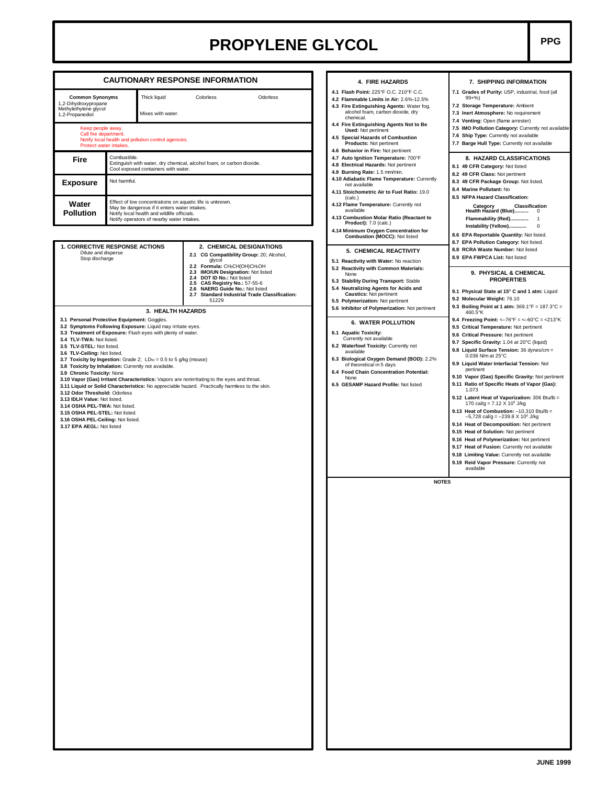## **PROPYLENE GLYCOL** PPG

|                                                                                                                                                                                                                                                                                                                                                                                                                                                                                                                                                                                                                                                                                                                                                                                                                                                                 | <b>CAUTIONARY RESPONSE INFORMATION</b>              |                                                                                                                                                                                                                       | 4. FIRE HAZARDS                                                                                                                                                                                                                                                                                                                                                           | 7. SHIPPING INFORMATION                                                                                                                                                                                                                                                                                                                                                                                                                                                                                                                                                                                                                                                                                                                                                                                                                                                                                                                                                                            |  |  |
|-----------------------------------------------------------------------------------------------------------------------------------------------------------------------------------------------------------------------------------------------------------------------------------------------------------------------------------------------------------------------------------------------------------------------------------------------------------------------------------------------------------------------------------------------------------------------------------------------------------------------------------------------------------------------------------------------------------------------------------------------------------------------------------------------------------------------------------------------------------------|-----------------------------------------------------|-----------------------------------------------------------------------------------------------------------------------------------------------------------------------------------------------------------------------|---------------------------------------------------------------------------------------------------------------------------------------------------------------------------------------------------------------------------------------------------------------------------------------------------------------------------------------------------------------------------|----------------------------------------------------------------------------------------------------------------------------------------------------------------------------------------------------------------------------------------------------------------------------------------------------------------------------------------------------------------------------------------------------------------------------------------------------------------------------------------------------------------------------------------------------------------------------------------------------------------------------------------------------------------------------------------------------------------------------------------------------------------------------------------------------------------------------------------------------------------------------------------------------------------------------------------------------------------------------------------------------|--|--|
| <b>Common Synonyms</b><br>1,2-Dihydroxypropane<br>Methylethylene glycol<br>1,2-Propanediol                                                                                                                                                                                                                                                                                                                                                                                                                                                                                                                                                                                                                                                                                                                                                                      | Thick liquid<br>Mixes with water.                   | Colorless<br>Odorless                                                                                                                                                                                                 | 4.1 Flash Point: 225°F O.C. 210°F C.C.<br>4.2 Flammable Limits in Air: 2.6%-12.5%<br>4.3 Fire Extinguishing Agents: Water fog,<br>alcohol foam, carbon dioxide, dry<br>chemical.                                                                                                                                                                                          | 7.1 Grades of Purity: USP, industrial, food (all<br>$99 + \%$<br>7.2 Storage Temperature: Ambient<br>7.3 Inert Atmosphere: No requirement<br>7.4 Venting: Open (flame arrester)                                                                                                                                                                                                                                                                                                                                                                                                                                                                                                                                                                                                                                                                                                                                                                                                                    |  |  |
| Keep people away.<br>Call fire department.<br>Notify local health and pollution control agencies.<br>Protect water intakes.                                                                                                                                                                                                                                                                                                                                                                                                                                                                                                                                                                                                                                                                                                                                     |                                                     |                                                                                                                                                                                                                       | 4.4 Fire Extinguishing Agents Not to Be<br><b>Used: Not pertinent</b><br>4.5 Special Hazards of Combustion<br>Products: Not pertinent<br>4.6 Behavior in Fire: Not pertinent                                                                                                                                                                                              | 7.5 IMO Pollution Category: Currently not available<br>7.6 Ship Type: Currently not available<br>7.7 Barge Hull Type: Currently not available                                                                                                                                                                                                                                                                                                                                                                                                                                                                                                                                                                                                                                                                                                                                                                                                                                                      |  |  |
| Fire                                                                                                                                                                                                                                                                                                                                                                                                                                                                                                                                                                                                                                                                                                                                                                                                                                                            | Combustible.<br>Cool exposed containers with water. | Extinguish with water, dry chemical, alcohol foam, or carbon dioxide.                                                                                                                                                 | 4.7 Auto Ignition Temperature: 700°F<br>4.8 Electrical Hazards: Not pertinent<br>4.9 Burning Rate: 1.5 mm/min.<br>4.10 Adiabatic Flame Temperature: Currently                                                                                                                                                                                                             | 8. HAZARD CLASSIFICATIONS<br>8.1 49 CFR Category: Not listed<br>8.2 49 CFR Class: Not pertinent<br>8.3 49 CFR Package Group: Not listed.<br>8.4 Marine Pollutant: No<br>8.5 NFPA Hazard Classification:                                                                                                                                                                                                                                                                                                                                                                                                                                                                                                                                                                                                                                                                                                                                                                                            |  |  |
| <b>Exposure</b>                                                                                                                                                                                                                                                                                                                                                                                                                                                                                                                                                                                                                                                                                                                                                                                                                                                 | Not harmful.                                        |                                                                                                                                                                                                                       | not available<br>4.11 Stoichometric Air to Fuel Ratio: 19.0<br>(calc.)                                                                                                                                                                                                                                                                                                    |                                                                                                                                                                                                                                                                                                                                                                                                                                                                                                                                                                                                                                                                                                                                                                                                                                                                                                                                                                                                    |  |  |
| Effect of low concentrations on aquatic life is unknown.<br>Water<br>May be dangerous if it enters water intakes.<br><b>Pollution</b><br>Notify local health and wildlife officials.<br>Notify operators of nearby water intakes.                                                                                                                                                                                                                                                                                                                                                                                                                                                                                                                                                                                                                               |                                                     |                                                                                                                                                                                                                       | 4.12 Flame Temperature: Currently not<br>available<br>4.13 Combustion Molar Ratio (Reactant to<br><b>Product):</b> 7.0 (calc.)<br>4.14 Minimum Oxygen Concentration for<br>Combustion (MOCC): Not listed                                                                                                                                                                  | <b>Classification</b><br>Category<br>Health Hazard (Blue) 0<br>8.6 EPA Reportable Quantity: Not listed.                                                                                                                                                                                                                                                                                                                                                                                                                                                                                                                                                                                                                                                                                                                                                                                                                                                                                            |  |  |
| 1. CORRECTIVE RESPONSE ACTIONS<br>Dilute and disperse<br>Stop discharge                                                                                                                                                                                                                                                                                                                                                                                                                                                                                                                                                                                                                                                                                                                                                                                         |                                                     | 2. CHEMICAL DESIGNATIONS<br>2.1 CG Compatibility Group: 20; Alcohol,<br>glycol<br>2.2 Formula: CH3CH(OH)CH2OH<br>2.3 IMO/UN Designation: Not listed<br>2.4 DOT ID No.: Not listed<br>CAS Registry No.: 57-55-6<br>2.5 | 5. CHEMICAL REACTIVITY<br>5.1 Reactivity with Water: No reaction<br>5.2 Reactivity with Common Materials:<br>None<br>5.3 Stability During Transport: Stable                                                                                                                                                                                                               | 8.7 EPA Pollution Category: Not listed.<br>8.8 RCRA Waste Number: Not listed<br>8.9 EPA FWPCA List: Not listed<br>9. PHYSICAL & CHEMICAL<br><b>PROPERTIES</b>                                                                                                                                                                                                                                                                                                                                                                                                                                                                                                                                                                                                                                                                                                                                                                                                                                      |  |  |
|                                                                                                                                                                                                                                                                                                                                                                                                                                                                                                                                                                                                                                                                                                                                                                                                                                                                 |                                                     | NAERG Guide No.: Not listed<br>2.6<br>2.7 Standard Industrial Trade Classification:<br>51229                                                                                                                          | 5.4 Neutralizing Agents for Acids and<br><b>Caustics:</b> Not pertinent<br>5.5 Polymerization: Not pertinent                                                                                                                                                                                                                                                              | 9.1 Physical State at 15° C and 1 atm: Liquid<br>9.2 Molecular Weight: 76.10                                                                                                                                                                                                                                                                                                                                                                                                                                                                                                                                                                                                                                                                                                                                                                                                                                                                                                                       |  |  |
| 3. HEALTH HAZARDS<br>3.1 Personal Protective Equipment: Goggles.<br>3.2 Symptoms Following Exposure: Liquid may irritate eyes.<br>3.3 Treatment of Exposure: Flush eyes with plenty of water.<br>3.4 TLV-TWA: Not listed.<br>3.5 TLV-STEL: Not listed.<br>3.6 TLV-Ceiling: Not listed.<br>3.7 Toxicity by Ingestion: Grade 2; $LD_{50} = 0.5$ to 5 g/kg (mouse)<br>3.8 Toxicity by Inhalation: Currently not available.<br>3.9 Chronic Toxicity: None<br>3.10 Vapor (Gas) Irritant Characteristics: Vapors are nonirritating to the eyes and throat.<br>3.11 Liquid or Solid Characteristics: No appreciable hazard. Practically harmless to the skin.<br>3.12 Odor Threshold: Odorless<br>3.13 IDLH Value: Not listed.<br>3.14 OSHA PEL-TWA: Not listed.<br>3.15 OSHA PEL-STEL: Not listed.<br>3.16 OSHA PEL-Ceiling: Not listed.<br>3.17 EPA AEGL: Not listed |                                                     |                                                                                                                                                                                                                       | 5.6 Inhibitor of Polymerization: Not pertinent<br><b>6. WATER POLLUTION</b><br>6.1 Aquatic Toxicity:<br>Currently not available<br>6.2 Waterfowl Toxicity: Currently not<br>available<br>6.3 Biological Oxygen Demand (BOD): 2.2%<br>of theoretical in 5 days<br>6.4 Food Chain Concentration Potential:<br>None<br>6.5 GESAMP Hazard Profile: Not listed<br><b>NOTES</b> | 9.3 Boiling Point at 1 atm: $369.1^{\circ}F = 187.3^{\circ}C =$<br>460.5°K<br>9.4 Freezing Point: <- 76°F = <- 60°C = <213°K<br>9.5 Critical Temperature: Not pertinent<br>9.6 Critical Pressure: Not pertinent<br>9.7 Specific Gravity: 1.04 at 20°C (liquid)<br>9.8 Liquid Surface Tension: 36 dynes/cm =<br>0.036 N/m at 25°C<br>9.9 Liquid Water Interfacial Tension: Not<br>pertinent<br>9.10 Vapor (Gas) Specific Gravity: Not pertinent<br>9.11 Ratio of Specific Heats of Vapor (Gas):<br>1.073<br>9.12 Latent Heat of Vaporization: 306 Btu/lb =<br>170 cal/g = 7.12 X 10 <sup>5</sup> J/kg<br>9.13 Heat of Combustion: $-10,310$ Btu/lb =<br>$-5,728$ cal/g = $-239.8$ X 10 <sup>5</sup> J/kg<br>9.14 Heat of Decomposition: Not pertinent<br>9.15 Heat of Solution: Not pertinent<br>9.16 Heat of Polymerization: Not pertinent<br>9.17 Heat of Fusion: Currently not available<br>9.18 Limiting Value: Currently not available<br>9.19 Reid Vapor Pressure: Currently not<br>available |  |  |
|                                                                                                                                                                                                                                                                                                                                                                                                                                                                                                                                                                                                                                                                                                                                                                                                                                                                 |                                                     |                                                                                                                                                                                                                       |                                                                                                                                                                                                                                                                                                                                                                           |                                                                                                                                                                                                                                                                                                                                                                                                                                                                                                                                                                                                                                                                                                                                                                                                                                                                                                                                                                                                    |  |  |